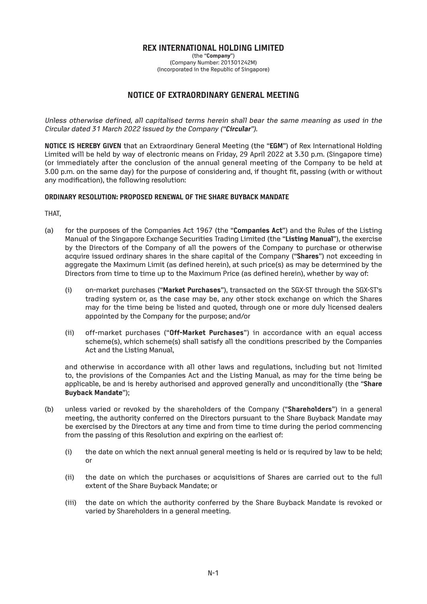# **REX INTERNATIONAL HOLDING LIMITED**

(the "**Company**") (Company Number: 201301242M) (Incorporated in the Republic of Singapore)

# **NOTICE OF EXTRAORDINARY GENERAL MEETING**

Unless otherwise defined, all capitalised terms herein shall bear the same meaning as used in the Circular dated 31 March 2022 issued by the Company ("**Circular**").

**NOTICE IS HEREBY GIVEN** that an Extraordinary General Meeting (the "**EGM**") of Rex International Holding Limited will be held by way of electronic means on Friday, 29 April 2022 at 3.30 p.m. (Singapore time) (or immediately after the conclusion of the annual general meeting of the Company to be held at 3.00 p.m. on the same day) for the purpose of considering and, if thought fit, passing (with or without any modification), the following resolution:

### **ORDINARY RESOLUTION: PROPOSED RENEWAL OF THE SHARE BUYBACK MANDATE**

THAT,

- (a) for the purposes of the Companies Act 1967 (the "**Companies Act**") and the Rules of the Listing Manual of the Singapore Exchange Securities Trading Limited (the "**Listing Manual**"), the exercise by the Directors of the Company of all the powers of the Company to purchase or otherwise acquire issued ordinary shares in the share capital of the Company ("**Shares**") not exceeding in aggregate the Maximum Limit (as defined herein), at such price(s) as may be determined by the Directors from time to time up to the Maximum Price (as defined herein), whether by way of:
	- (i) on-market purchases ("**Market Purchases**"), transacted on the SGX-ST through the SGX-ST's trading system or, as the case may be, any other stock exchange on which the Shares may for the time being be listed and quoted, through one or more duly licensed dealers appointed by the Company for the purpose; and/or
	- (ii) off-market purchases ("**Off-Market Purchases**") in accordance with an equal access scheme(s), which scheme(s) shall satisfy all the conditions prescribed by the Companies Act and the Listing Manual,

and otherwise in accordance with all other laws and regulations, including but not limited to, the provisions of the Companies Act and the Listing Manual, as may for the time being be applicable, be and is hereby authorised and approved generally and unconditionally (the "**Share Buyback Mandate**");

- (b) unless varied or revoked by the shareholders of the Company ("**Shareholders**") in a general meeting, the authority conferred on the Directors pursuant to the Share Buyback Mandate may be exercised by the Directors at any time and from time to time during the period commencing from the passing of this Resolution and expiring on the earliest of:
	- (i) the date on which the next annual general meeting is held or is required by law to be held; or
	- (ii) the date on which the purchases or acquisitions of Shares are carried out to the full extent of the Share Buyback Mandate; or
	- (iii) the date on which the authority conferred by the Share Buyback Mandate is revoked or varied by Shareholders in a general meeting.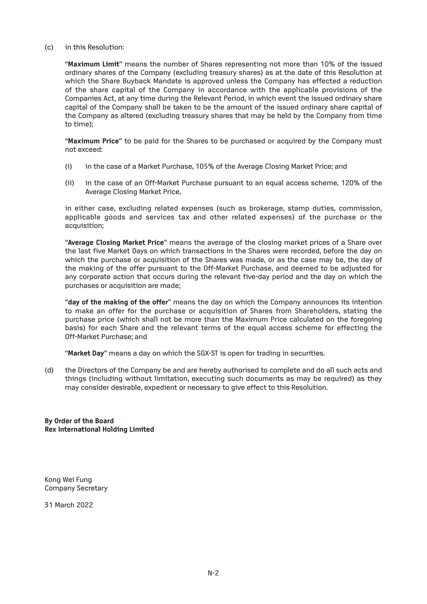#### (c) in this Resolution:

"**Maximum Limit**" means the number of Shares representing not more than 10% of the issued ordinary shares of the Company (excluding treasury shares) as at the date of this Resolution at which the Share Buyback Mandate is approved unless the Company has effected a reduction of the share capital of the Company in accordance with the applicable provisions of the Companies Act, at any time during the Relevant Period, in which event the issued ordinary share capital of the Company shall be taken to be the amount of the issued ordinary share capital of the Company as altered (excluding treasury shares that may be held by the Company from time to time);

"**Maximum Price**" to be paid for the Shares to be purchased or acquired by the Company must not exceed:

- (i) in the case of a Market Purchase, 105% of the Average Closing Market Price; and
- (ii) in the case of an Off-Market Purchase pursuant to an equal access scheme, 120% of the Average Closing Market Price,

in either case, excluding related expenses (such as brokerage, stamp duties, commission, applicable goods and services tax and other related expenses) of the purchase or the acquisition;

"**Average Closing Market Price**" means the average of the closing market prices of a Share over the last five Market Days on which transactions in the Shares were recorded, before the day on which the purchase or acquisition of the Shares was made, or as the case may be, the day of the making of the offer pursuant to the Off-Market Purchase, and deemed to be adjusted for any corporate action that occurs during the relevant five-day period and the day on which the purchases or acquisition are made;

"**day of the making of the offer**" means the day on which the Company announces its intention to make an offer for the purchase or acquisition of Shares from Shareholders, stating the purchase price (which shall not be more than the Maximum Price calculated on the foregoing basis) for each Share and the relevant terms of the equal access scheme for effecting the Off-Market Purchase; and

"**Market Day**" means a day on which the SGX-ST is open for trading in securities.

(d) the Directors of the Company be and are hereby authorised to complete and do all such acts and things (including without limitation, executing such documents as may be required) as they may consider desirable, expedient or necessary to give effect to this Resolution.

**By Order of the Board Rex International Holding Limited**

Kong Wei Fung Company Secretary

31 March 2022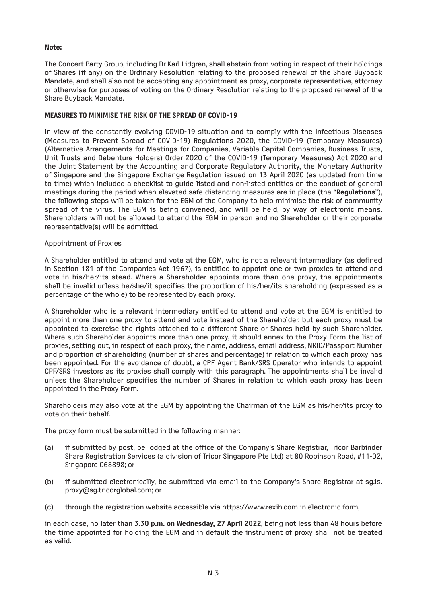## **Note:**

The Concert Party Group, including Dr Karl Lidgren, shall abstain from voting in respect of their holdings of Shares (if any) on the Ordinary Resolution relating to the proposed renewal of the Share Buyback Mandate, and shall also not be accepting any appointment as proxy, corporate representative, attorney or otherwise for purposes of voting on the Ordinary Resolution relating to the proposed renewal of the Share Buyback Mandate.

# **MEASURES TO MINIMISE THE RISK OF THE SPREAD OF COVID-19**

In view of the constantly evolving COVID-19 situation and to comply with the Infectious Diseases (Measures to Prevent Spread of COVID-19) Regulations 2020, the COVID-19 (Temporary Measures) (Alternative Arrangements for Meetings for Companies, Variable Capital Companies, Business Trusts, Unit Trusts and Debenture Holders) Order 2020 of the COVID-19 (Temporary Measures) Act 2020 and the Joint Statement by the Accounting and Corporate Regulatory Authority, the Monetary Authority of Singapore and the Singapore Exchange Regulation issued on 13 April 2020 (as updated from time to time) which included a checklist to guide listed and non-listed entities on the conduct of general meetings during the period when elevated safe distancing measures are in place (the "**Regulations**"), the following steps will be taken for the EGM of the Company to help minimise the risk of community spread of the virus. The EGM is being convened, and will be held, by way of electronic means. Shareholders will not be allowed to attend the EGM in person and no Shareholder or their corporate representative(s) will be admitted.

### Appointment of Proxies

A Shareholder entitled to attend and vote at the EGM, who is not a relevant intermediary (as defined in Section 181 of the Companies Act 1967), is entitled to appoint one or two proxies to attend and vote in his/her/its stead. Where a Shareholder appoints more than one proxy, the appointments shall be invalid unless he/she/it specifies the proportion of his/her/its shareholding (expressed as a percentage of the whole) to be represented by each proxy.

A Shareholder who is a relevant intermediary entitled to attend and vote at the EGM is entitled to appoint more than one proxy to attend and vote instead of the Shareholder, but each proxy must be appointed to exercise the rights attached to a different Share or Shares held by such Shareholder. Where such Shareholder appoints more than one proxy, it should annex to the Proxy Form the list of proxies, setting out, in respect of each proxy, the name, address, email address, NRIC/Passport Number and proportion of shareholding (number of shares and percentage) in relation to which each proxy has been appointed. For the avoidance of doubt, a CPF Agent Bank/SRS Operator who intends to appoint CPF/SRS investors as its proxies shall comply with this paragraph. The appointments shall be invalid unless the Shareholder specifies the number of Shares in relation to which each proxy has been appointed in the Proxy Form.

Shareholders may also vote at the EGM by appointing the Chairman of the EGM as his/her/its proxy to vote on their behalf.

The proxy form must be submitted in the following manner:

- (a) if submitted by post, be lodged at the office of the Company's Share Registrar, Tricor Barbinder Share Registration Services (a division of Tricor Singapore Pte Ltd) at 80 Robinson Road, #11-02, Singapore 068898; or
- (b) if submitted electronically, be submitted via email to the Company's Share Registrar at sg.is. proxy@sg.tricorglobal.com; or
- (c) through the registration website accessible via https://www.rexih.com in electronic form,

in each case, no later than **3.30 p.m. on Wednesday, 27 April 2022**, being not less than 48 hours before the time appointed for holding the EGM and in default the instrument of proxy shall not be treated as valid.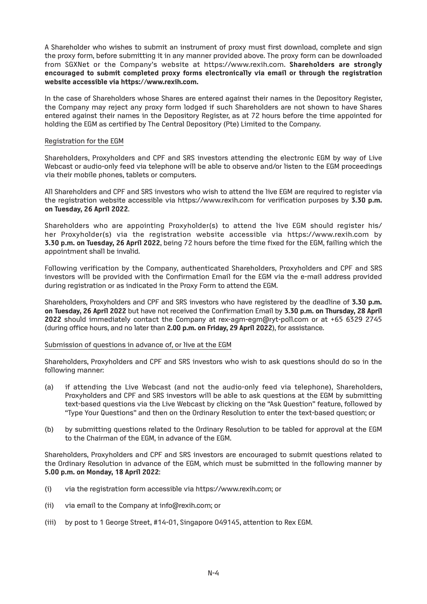A Shareholder who wishes to submit an instrument of proxy must first download, complete and sign the proxy form, before submitting it in any manner provided above. The proxy form can be downloaded from SGXNet or the Company's website at https://www.rexih.com. **Shareholders are strongly encouraged to submit completed proxy forms electronically via email or through the registration website accessible via https://www.rexih.com.**

In the case of Shareholders whose Shares are entered against their names in the Depository Register, the Company may reject any proxy form lodged if such Shareholders are not shown to have Shares entered against their names in the Depository Register, as at 72 hours before the time appointed for holding the EGM as certified by The Central Depository (Pte) Limited to the Company.

### Registration for the EGM

Shareholders, Proxyholders and CPF and SRS investors attending the electronic EGM by way of Live Webcast or audio-only feed via telephone will be able to observe and/or listen to the EGM proceedings via their mobile phones, tablets or computers.

All Shareholders and CPF and SRS investors who wish to attend the live EGM are required to register via the registration website accessible via https://www.rexih.com for verification purposes by **3.30 p.m. on Tuesday, 26 April 2022**.

Shareholders who are appointing Proxyholder(s) to attend the live EGM should register his/ her Proxyholder(s) via the registration website accessible via https://www.rexih.com by **3.30 p.m. on Tuesday, 26 April 2022**, being 72 hours before the time fixed for the EGM, failing which the appointment shall be invalid.

Following verification by the Company, authenticated Shareholders, Proxyholders and CPF and SRS investors will be provided with the Confirmation Email for the EGM via the e-mail address provided during registration or as indicated in the Proxy Form to attend the EGM.

Shareholders, Proxyholders and CPF and SRS investors who have registered by the deadline of **3.30 p.m. on Tuesday, 26 April 2022** but have not received the Confirmation Email by **3.30 p.m. on Thursday, 28 April 2022** should immediately contact the Company at rex-agm-egm@ryt-poll.com or at +65 6329 2745 (during office hours, and no later than **2.00 p.m. on Friday, 29 April 2022**), for assistance.

#### Submission of questions in advance of, or live at the EGM

Shareholders, Proxyholders and CPF and SRS investors who wish to ask questions should do so in the following manner:

- (a) if attending the Live Webcast (and not the audio-only feed via telephone), Shareholders, Proxyholders and CPF and SRS investors will be able to ask questions at the EGM by submitting text-based questions via the Live Webcast by clicking on the "Ask Question" feature, followed by "Type Your Questions" and then on the Ordinary Resolution to enter the text-based question; or
- (b) by submitting questions related to the Ordinary Resolution to be tabled for approval at the EGM to the Chairman of the EGM, in advance of the EGM.

Shareholders, Proxyholders and CPF and SRS investors are encouraged to submit questions related to the Ordinary Resolution in advance of the EGM, which must be submitted in the following manner by **5.00 p.m. on Monday, 18 April 2022**:

- (i) via the registration form accessible via https://www.rexih.com; or
- (ii) via email to the Company at info@rexih.com; or
- (iii) by post to 1 George Street, #14-01, Singapore 049145, attention to Rex EGM.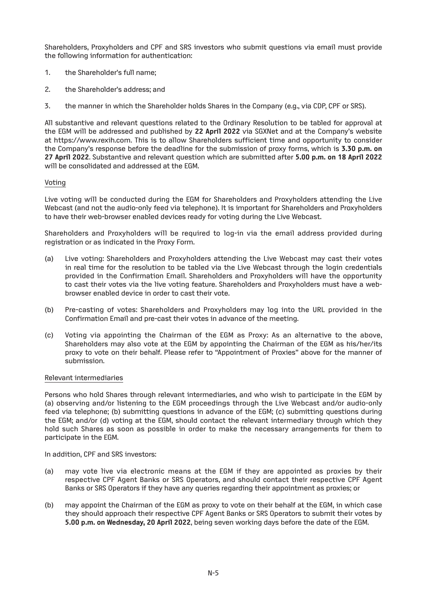Shareholders, Proxyholders and CPF and SRS investors who submit questions via email must provide the following information for authentication:

- 1. the Shareholder's full name;
- 2. the Shareholder's address; and
- 3. the manner in which the Shareholder holds Shares in the Company (e.g., via CDP, CPF or SRS).

All substantive and relevant questions related to the Ordinary Resolution to be tabled for approval at the EGM will be addressed and published by **22 April 2022** via SGXNet and at the Company's website at https://www.rexih.com. This is to allow Shareholders sufficient time and opportunity to consider the Company's response before the deadline for the submission of proxy forms, which is **3.30 p.m. on 27 April 2022**. Substantive and relevant question which are submitted after **5.00 p.m. on 18 April 2022** will be consolidated and addressed at the EGM.

### Voting

Live voting will be conducted during the EGM for Shareholders and Proxyholders attending the Live Webcast (and not the audio-only feed via telephone). It is important for Shareholders and Proxyholders to have their web-browser enabled devices ready for voting during the Live Webcast.

Shareholders and Proxyholders will be required to log-in via the email address provided during registration or as indicated in the Proxy Form.

- (a) Live voting: Shareholders and Proxyholders attending the Live Webcast may cast their votes in real time for the resolution to be tabled via the Live Webcast through the login credentials provided in the Confirmation Email. Shareholders and Proxyholders will have the opportunity to cast their votes via the live voting feature. Shareholders and Proxyholders must have a webbrowser enabled device in order to cast their vote.
- (b) Pre-casting of votes: Shareholders and Proxyholders may log into the URL provided in the Confirmation Email and pre-cast their votes in advance of the meeting.
- (c) Voting via appointing the Chairman of the EGM as Proxy: As an alternative to the above, Shareholders may also vote at the EGM by appointing the Chairman of the EGM as his/her/its proxy to vote on their behalf. Please refer to "Appointment of Proxies" above for the manner of submission.

#### Relevant intermediaries

Persons who hold Shares through relevant intermediaries, and who wish to participate in the EGM by (a) observing and/or listening to the EGM proceedings through the Live Webcast and/or audio-only feed via telephone; (b) submitting questions in advance of the EGM; (c) submitting questions during the EGM; and/or (d) voting at the EGM, should contact the relevant intermediary through which they hold such Shares as soon as possible in order to make the necessary arrangements for them to participate in the EGM.

In addition, CPF and SRS investors:

- (a) may vote live via electronic means at the EGM if they are appointed as proxies by their respective CPF Agent Banks or SRS Operators, and should contact their respective CPF Agent Banks or SRS Operators if they have any queries regarding their appointment as proxies; or
- (b) may appoint the Chairman of the EGM as proxy to vote on their behalf at the EGM, in which case they should approach their respective CPF Agent Banks or SRS Operators to submit their votes by **5.00 p.m. on Wednesday, 20 April 2022**, being seven working days before the date of the EGM.